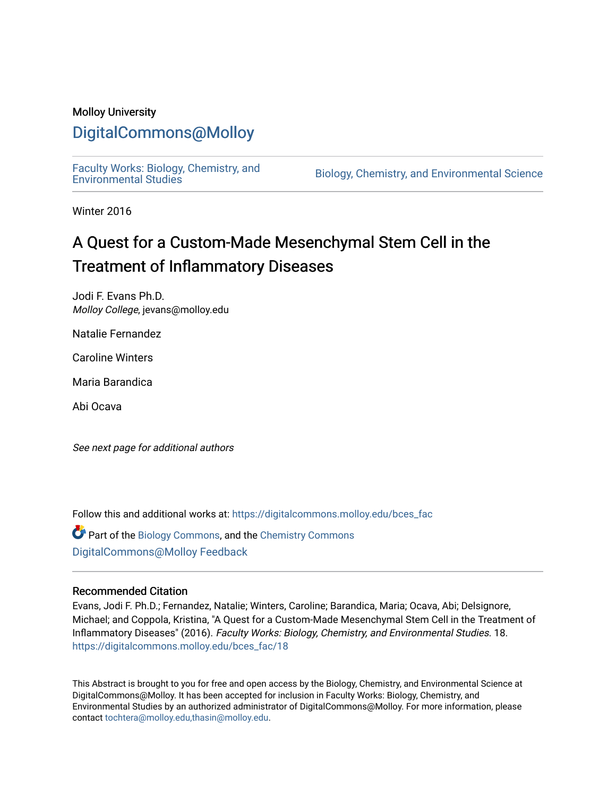#### Molloy University

### [DigitalCommons@Molloy](https://digitalcommons.molloy.edu/)

[Faculty Works: Biology, Chemistry, and](https://digitalcommons.molloy.edu/bces_fac) 

Biology, Chemistry, and Environmental Science

Winter 2016

## A Quest for a Custom-Made Mesenchymal Stem Cell in the Treatment of Inflammatory Diseases

Jodi F. Evans Ph.D. Molloy College, jevans@molloy.edu

Natalie Fernandez

Caroline Winters

Maria Barandica

Abi Ocava

See next page for additional authors

Follow this and additional works at: [https://digitalcommons.molloy.edu/bces\\_fac](https://digitalcommons.molloy.edu/bces_fac?utm_source=digitalcommons.molloy.edu%2Fbces_fac%2F18&utm_medium=PDF&utm_campaign=PDFCoverPages)

Part of the [Biology Commons,](https://network.bepress.com/hgg/discipline/41?utm_source=digitalcommons.molloy.edu%2Fbces_fac%2F18&utm_medium=PDF&utm_campaign=PDFCoverPages) and the [Chemistry Commons](https://network.bepress.com/hgg/discipline/131?utm_source=digitalcommons.molloy.edu%2Fbces_fac%2F18&utm_medium=PDF&utm_campaign=PDFCoverPages) [DigitalCommons@Molloy Feedback](https://molloy.libwizard.com/f/dcfeedback)

#### Recommended Citation

Evans, Jodi F. Ph.D.; Fernandez, Natalie; Winters, Caroline; Barandica, Maria; Ocava, Abi; Delsignore, Michael; and Coppola, Kristina, "A Quest for a Custom-Made Mesenchymal Stem Cell in the Treatment of Inflammatory Diseases" (2016). Faculty Works: Biology, Chemistry, and Environmental Studies. 18. [https://digitalcommons.molloy.edu/bces\\_fac/18](https://digitalcommons.molloy.edu/bces_fac/18?utm_source=digitalcommons.molloy.edu%2Fbces_fac%2F18&utm_medium=PDF&utm_campaign=PDFCoverPages) 

This Abstract is brought to you for free and open access by the Biology, Chemistry, and Environmental Science at DigitalCommons@Molloy. It has been accepted for inclusion in Faculty Works: Biology, Chemistry, and Environmental Studies by an authorized administrator of DigitalCommons@Molloy. For more information, please contact [tochtera@molloy.edu,thasin@molloy.edu.](mailto:tochtera@molloy.edu,thasin@molloy.edu)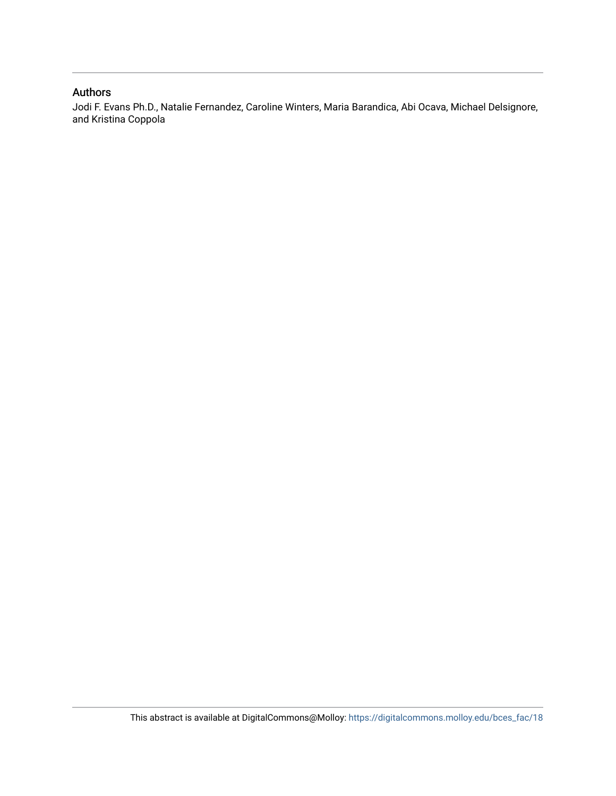#### Authors

Jodi F. Evans Ph.D., Natalie Fernandez, Caroline Winters, Maria Barandica, Abi Ocava, Michael Delsignore, and Kristina Coppola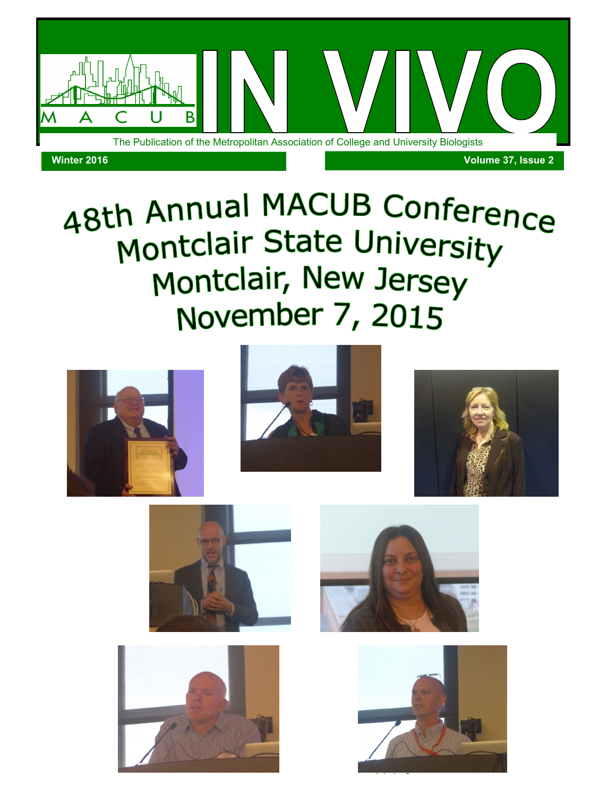

# 48th Annual MACUB Conference Montclair State University Montclair, New Jersey November 7, 2015













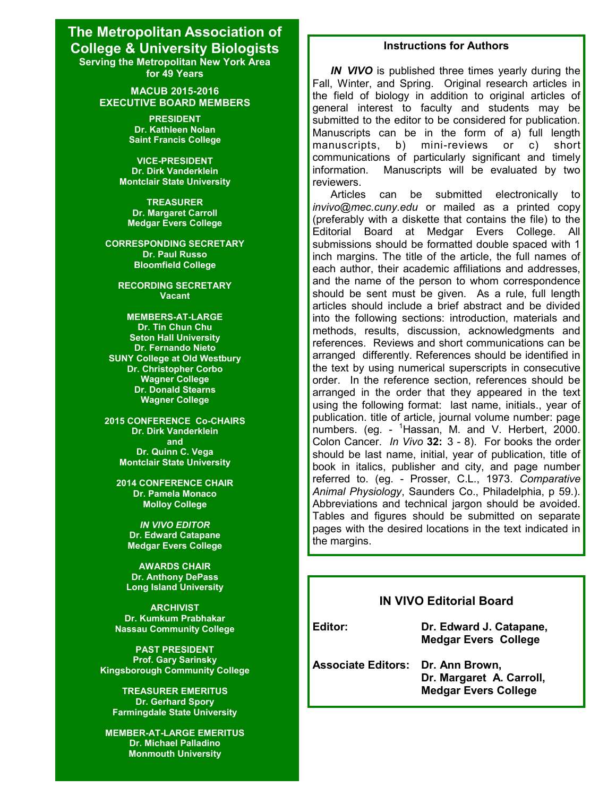#### **The Metropolitan Association of College & University Biologists Serving the Metropolitan New York Area for 49 Years**

**MACUB 2015-2016 EXECUTIVE BOARD MEMBERS**

> **PRESIDENT Dr. Kathleen Nolan Saint Francis College**

**VICE-PRESIDENT Dr. Dirk Vanderklein Montclair State University**

**TREASURER Dr. Margaret Carroll Medgar Evers College**

**CORRESPONDING SECRETARY Dr. Paul Russo Bloomfield College**

**RECORDING SECRETARY Vacant**

**MEMBERS-AT-LARGE Dr. Tin Chun Chu Seton Hall University Dr. Fernando Nieto SUNY College at Old Westbury Dr. Christopher Corbo Wagner College Dr. Donald Stearns Wagner College**

**2015 CONFERENCE Co-CHAIRS Dr. Dirk Vanderklein and Dr. Quinn C. Vega Montclair State University**

**2014 CONFERENCE CHAIR Dr. Pamela Monaco Molloy College**

*IN VIVO EDITOR* **Dr. Edward Catapane Medgar Evers College**

**AWARDS CHAIR Dr. Anthony DePass Long Island University**

**ARCHIVIST Dr. Kumkum Prabhakar Nassau Community College**

**PAST PRESIDENT Prof. Gary Sarinsky Kingsborough Community College**

**TREASURER EMERITUS Dr. Gerhard Spory Farmingdale State University**

**MEMBER-AT-LARGE EMERITUS Dr. Michael Palladino Monmouth University**

#### **Instructions for Authors**

*IN VIVO* is published three times yearly during the Fall, Winter, and Spring. Original research articles in the field of biology in addition to original articles of general interest to faculty and students may be submitted to the editor to be considered for publication. Manuscripts can be in the form of a) full length manuscripts, b) mini-reviews or c) short communications of particularly significant and timely information. Manuscripts will be evaluated by two reviewers.

Articles can be submitted electronically to *invivo@mec.cuny.edu* or mailed as a printed copy (preferably with a diskette that contains the file) to the Editorial Board at Medgar Evers College. All submissions should be formatted double spaced with 1 inch margins. The title of the article, the full names of each author, their academic affiliations and addresses, and the name of the person to whom correspondence should be sent must be given. As a rule, full length articles should include a brief abstract and be divided into the following sections: introduction, materials and methods, results, discussion, acknowledgments and references. Reviews and short communications can be arranged differently. References should be identified in the text by using numerical superscripts in consecutive order. In the reference section, references should be arranged in the order that they appeared in the text using the following format: last name, initials., year of publication. title of article, journal volume number: page numbers. (eg. - <sup>1</sup>Hassan, M. and V. Herbert, 2000. Colon Cancer. *In Vivo* **32:** 3 - 8). For books the order should be last name, initial, year of publication, title of book in italics, publisher and city, and page number referred to. (eg. - Prosser, C.L., 1973. *Comparative Animal Physiology*, Saunders Co., Philadelphia, p 59.). Abbreviations and technical jargon should be avoided. Tables and figures should be submitted on separate pages with the desired locations in the text indicated in the margins.

#### **IN VIVO Editorial Board**

**Winter 2016** *In Vivo***, Vol 37(2): page 5**

**Editor: Dr. Edward J. Catapane, Medgar Evers College**

**Associate Editors: Dr. Ann Brown, Dr. Margaret A. Carroll, Medgar Evers College**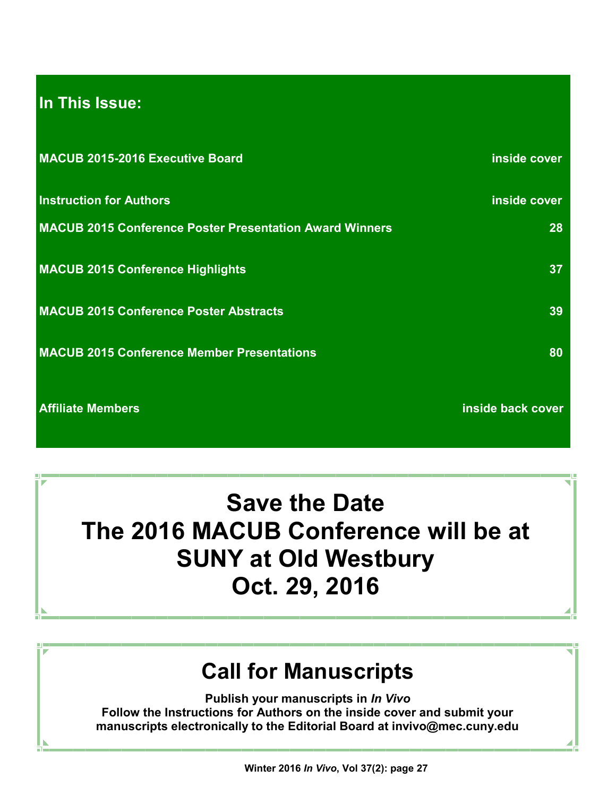## **In This Issue:**

| MACUB 2015-2016 Executive Board                                | inside cover      |
|----------------------------------------------------------------|-------------------|
| <b>Instruction for Authors</b>                                 | inside cover      |
| <b>MACUB 2015 Conference Poster Presentation Award Winners</b> | 28                |
| <b>MACUB 2015 Conference Highlights</b>                        | 37                |
| <b>MACUB 2015 Conference Poster Abstracts</b>                  | 39                |
| <b>MACUB 2015 Conference Member Presentations</b>              | 80                |
| <b>Affiliate Members</b>                                       | inside back cover |

**Save the Date The 2016 MACUB Conference will be at SUNY at Old Westbury Oct. 29, 2016**

## **Call for Manuscripts**

**Publish your manuscripts in** *In Vivo* **Follow the Instructions for Authors on the inside cover and submit your manuscripts electronically to the Editorial Board at invivo@mec.cuny.edu**

**Winter 2016** *In Vivo***, Vol 37(2): page 27**